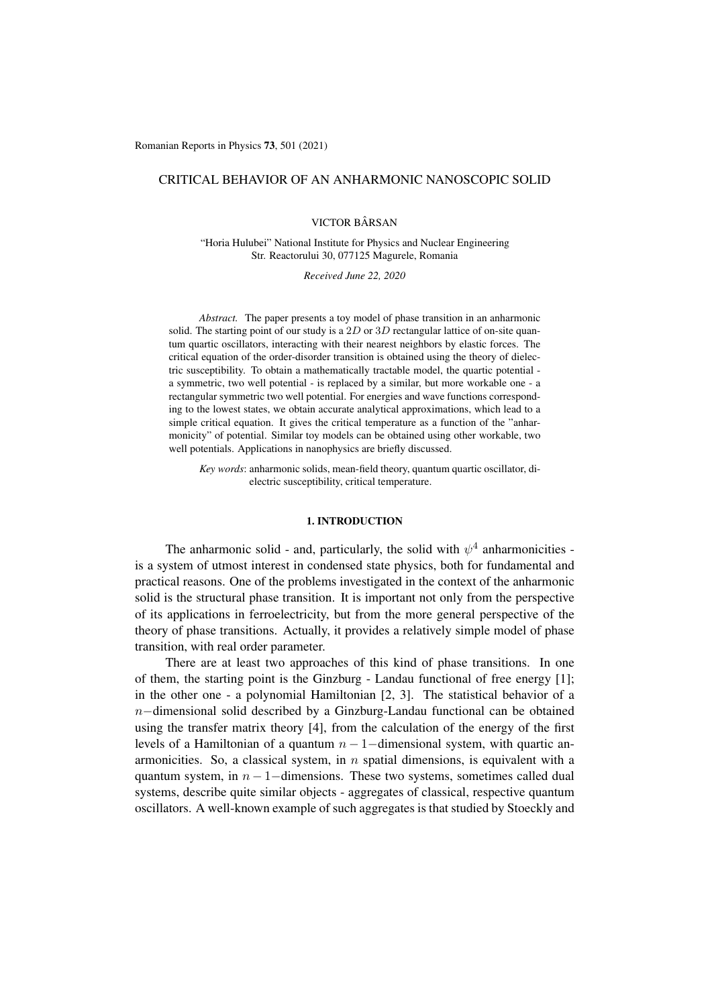# CRITICAL BEHAVIOR OF AN ANHARMONIC NANOSCOPIC SOLID

VICTOR BÂRSAN

"Horia Hulubei" National Institute for Physics and Nuclear Engineering Str. Reactorului 30, 077125 Magurele, Romania

*Received June 22, 2020*

*Abstract.* The paper presents a toy model of phase transition in an anharmonic solid. The starting point of our study is a 2D or 3D rectangular lattice of on-site quantum quartic oscillators, interacting with their nearest neighbors by elastic forces. The critical equation of the order-disorder transition is obtained using the theory of dielectric susceptibility. To obtain a mathematically tractable model, the quartic potential a symmetric, two well potential - is replaced by a similar, but more workable one - a rectangular symmetric two well potential. For energies and wave functions corresponding to the lowest states, we obtain accurate analytical approximations, which lead to a simple critical equation. It gives the critical temperature as a function of the "anharmonicity" of potential. Similar toy models can be obtained using other workable, two well potentials. Applications in nanophysics are briefly discussed.

*Key words*: anharmonic solids, mean-field theory, quantum quartic oscillator, dielectric susceptibility, critical temperature.

### 1. INTRODUCTION

The anharmonic solid - and, particularly, the solid with  $\psi^4$  anharmonicities is a system of utmost interest in condensed state physics, both for fundamental and practical reasons. One of the problems investigated in the context of the anharmonic solid is the structural phase transition. It is important not only from the perspective of its applications in ferroelectricity, but from the more general perspective of the theory of phase transitions. Actually, it provides a relatively simple model of phase transition, with real order parameter.

There are at least two approaches of this kind of phase transitions. In one of them, the starting point is the Ginzburg - Landau functional of free energy [1]; in the other one - a polynomial Hamiltonian [2, 3]. The statistical behavior of a  $n$ -dimensional solid described by a Ginzburg-Landau functional can be obtained using the transfer matrix theory [4], from the calculation of the energy of the first levels of a Hamiltonian of a quantum  $n-1$ -dimensional system, with quartic anarmonicities. So, a classical system, in *n* spatial dimensions, is equivalent with a quantum system, in  $n - 1$ –dimensions. These two systems, sometimes called dual systems, describe quite similar objects - aggregates of classical, respective quantum oscillators. A well-known example of such aggregates is that studied by Stoeckly and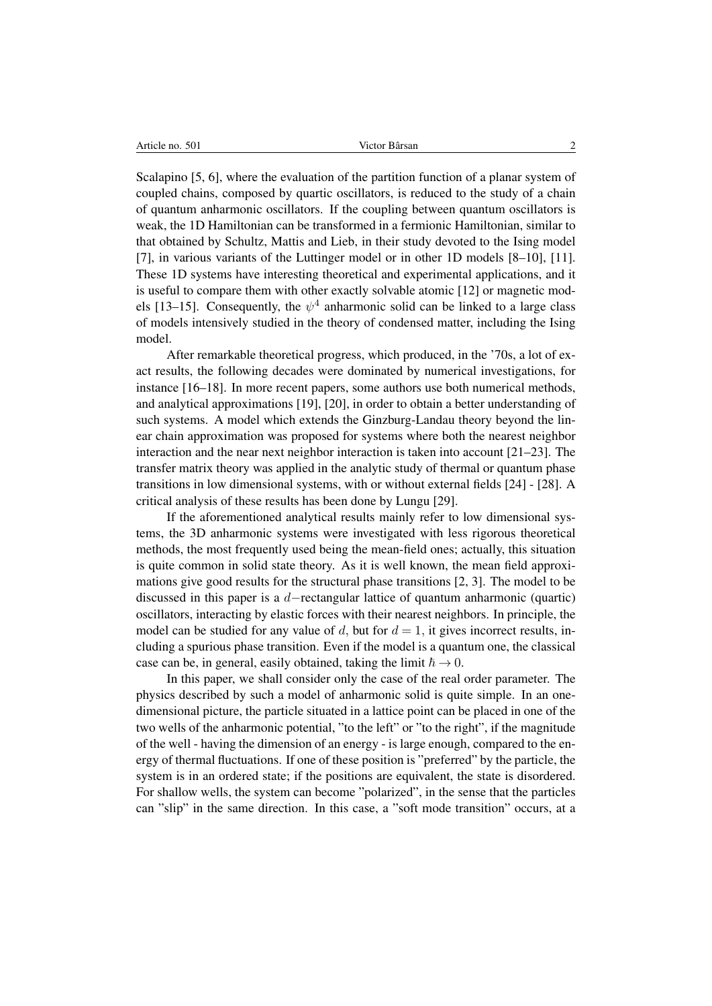|--|

Scalapino [5, 6], where the evaluation of the partition function of a planar system of coupled chains, composed by quartic oscillators, is reduced to the study of a chain of quantum anharmonic oscillators. If the coupling between quantum oscillators is weak, the 1D Hamiltonian can be transformed in a fermionic Hamiltonian, similar to that obtained by Schultz, Mattis and Lieb, in their study devoted to the Ising model [7], in various variants of the Luttinger model or in other 1D models [8–10], [11]. These 1D systems have interesting theoretical and experimental applications, and it is useful to compare them with other exactly solvable atomic [12] or magnetic models [13–15]. Consequently, the  $\psi^4$  anharmonic solid can be linked to a large class of models intensively studied in the theory of condensed matter, including the Ising model.

After remarkable theoretical progress, which produced, in the '70s, a lot of exact results, the following decades were dominated by numerical investigations, for instance [16–18]. In more recent papers, some authors use both numerical methods, and analytical approximations [19], [20], in order to obtain a better understanding of such systems. A model which extends the Ginzburg-Landau theory beyond the linear chain approximation was proposed for systems where both the nearest neighbor interaction and the near next neighbor interaction is taken into account [21–23]. The transfer matrix theory was applied in the analytic study of thermal or quantum phase transitions in low dimensional systems, with or without external fields [24] - [28]. A critical analysis of these results has been done by Lungu [29].

If the aforementioned analytical results mainly refer to low dimensional systems, the 3D anharmonic systems were investigated with less rigorous theoretical methods, the most frequently used being the mean-field ones; actually, this situation is quite common in solid state theory. As it is well known, the mean field approximations give good results for the structural phase transitions [2, 3]. The model to be discussed in this paper is a  $d$ -rectangular lattice of quantum anharmonic (quartic) oscillators, interacting by elastic forces with their nearest neighbors. In principle, the model can be studied for any value of *d*, but for  $d = 1$ , it gives incorrect results, including a spurious phase transition. Even if the model is a quantum one, the classical case can be, in general, easily obtained, taking the limit  $\hbar \rightarrow 0$ .

In this paper, we shall consider only the case of the real order parameter. The physics described by such a model of anharmonic solid is quite simple. In an onedimensional picture, the particle situated in a lattice point can be placed in one of the two wells of the anharmonic potential, "to the left" or "to the right", if the magnitude of the well - having the dimension of an energy - is large enough, compared to the energy of thermal fluctuations. If one of these position is "preferred" by the particle, the system is in an ordered state; if the positions are equivalent, the state is disordered. For shallow wells, the system can become "polarized", in the sense that the particles can "slip" in the same direction. In this case, a "soft mode transition" occurs, at a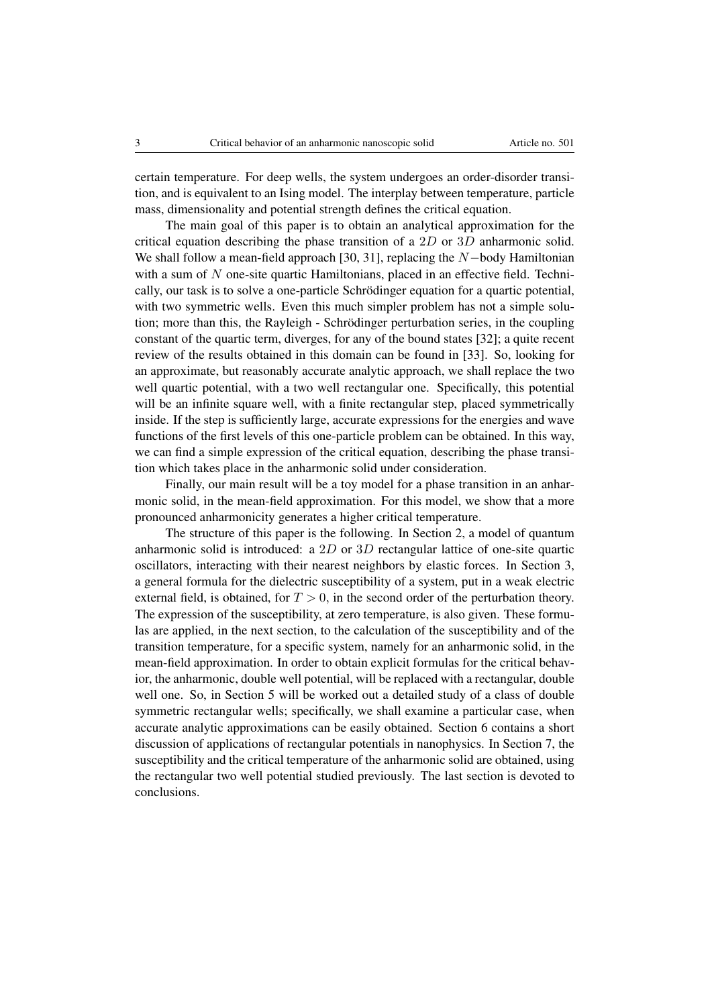certain temperature. For deep wells, the system undergoes an order-disorder transition, and is equivalent to an Ising model. The interplay between temperature, particle mass, dimensionality and potential strength defines the critical equation.

The main goal of this paper is to obtain an analytical approximation for the critical equation describing the phase transition of a 2*D* or 3*D* anharmonic solid. We shall follow a mean-field approach [30, 31], replacing the  $N$ -body Hamiltonian with a sum of N one-site quartic Hamiltonians, placed in an effective field. Technically, our task is to solve a one-particle Schrödinger equation for a quartic potential, with two symmetric wells. Even this much simpler problem has not a simple solution; more than this, the Rayleigh - Schrödinger perturbation series, in the coupling constant of the quartic term, diverges, for any of the bound states [32]; a quite recent review of the results obtained in this domain can be found in [33]. So, looking for an approximate, but reasonably accurate analytic approach, we shall replace the two well quartic potential, with a two well rectangular one. Specifically, this potential will be an infinite square well, with a finite rectangular step, placed symmetrically inside. If the step is sufficiently large, accurate expressions for the energies and wave functions of the first levels of this one-particle problem can be obtained. In this way, we can find a simple expression of the critical equation, describing the phase transition which takes place in the anharmonic solid under consideration.

Finally, our main result will be a toy model for a phase transition in an anharmonic solid, in the mean-field approximation. For this model, we show that a more pronounced anharmonicity generates a higher critical temperature.

The structure of this paper is the following. In Section 2, a model of quantum anharmonic solid is introduced: a 2*D* or 3*D* rectangular lattice of one-site quartic oscillators, interacting with their nearest neighbors by elastic forces. In Section 3, a general formula for the dielectric susceptibility of a system, put in a weak electric external field, is obtained, for  $T > 0$ , in the second order of the perturbation theory. The expression of the susceptibility, at zero temperature, is also given. These formulas are applied, in the next section, to the calculation of the susceptibility and of the transition temperature, for a specific system, namely for an anharmonic solid, in the mean-field approximation. In order to obtain explicit formulas for the critical behavior, the anharmonic, double well potential, will be replaced with a rectangular, double well one. So, in Section 5 will be worked out a detailed study of a class of double symmetric rectangular wells; specifically, we shall examine a particular case, when accurate analytic approximations can be easily obtained. Section 6 contains a short discussion of applications of rectangular potentials in nanophysics. In Section 7, the susceptibility and the critical temperature of the anharmonic solid are obtained, using the rectangular two well potential studied previously. The last section is devoted to conclusions.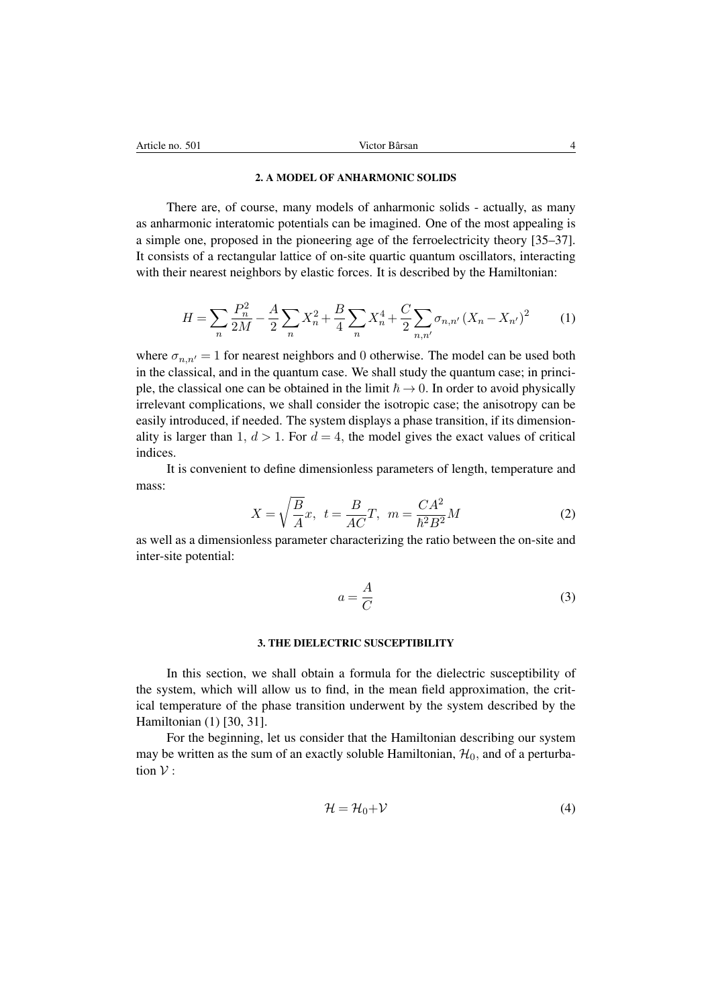#### 2. A MODEL OF ANHARMONIC SOLIDS

There are, of course, many models of anharmonic solids - actually, as many as anharmonic interatomic potentials can be imagined. One of the most appealing is a simple one, proposed in the pioneering age of the ferroelectricity theory [35–37]. It consists of a rectangular lattice of on-site quartic quantum oscillators, interacting with their nearest neighbors by elastic forces. It is described by the Hamiltonian:

$$
H = \sum_{n} \frac{P_n^2}{2M} - \frac{A}{2} \sum_{n} X_n^2 + \frac{B}{4} \sum_{n} X_n^4 + \frac{C}{2} \sum_{n,n'} \sigma_{n,n'} (X_n - X_{n'})^2 \tag{1}
$$

where  $\sigma_{n,n'} = 1$  for nearest neighbors and 0 otherwise. The model can be used both in the classical, and in the quantum case. We shall study the quantum case; in principle, the classical one can be obtained in the limit  $\hbar \rightarrow 0$ . In order to avoid physically irrelevant complications, we shall consider the isotropic case; the anisotropy can be easily introduced, if needed. The system displays a phase transition, if its dimensionality is larger than 1,  $d > 1$ . For  $d = 4$ , the model gives the exact values of critical indices.

It is convenient to define dimensionless parameters of length, temperature and mass:

$$
X = \sqrt{\frac{B}{A}}x, \quad t = \frac{B}{AC}T, \quad m = \frac{CA^2}{\hbar^2 B^2}M
$$
 (2)

as well as a dimensionless parameter characterizing the ratio between the on-site and inter-site potential:

$$
a = \frac{A}{C} \tag{3}
$$

#### 3. THE DIELECTRIC SUSCEPTIBILITY

In this section, we shall obtain a formula for the dielectric susceptibility of the system, which will allow us to find, in the mean field approximation, the critical temperature of the phase transition underwent by the system described by the Hamiltonian (1) [30, 31].

For the beginning, let us consider that the Hamiltonian describing our system may be written as the sum of an exactly soluble Hamiltonian,  $\mathcal{H}_0$ , and of a perturbation  $V$  :

$$
\mathcal{H} = \mathcal{H}_0 + \mathcal{V} \tag{4}
$$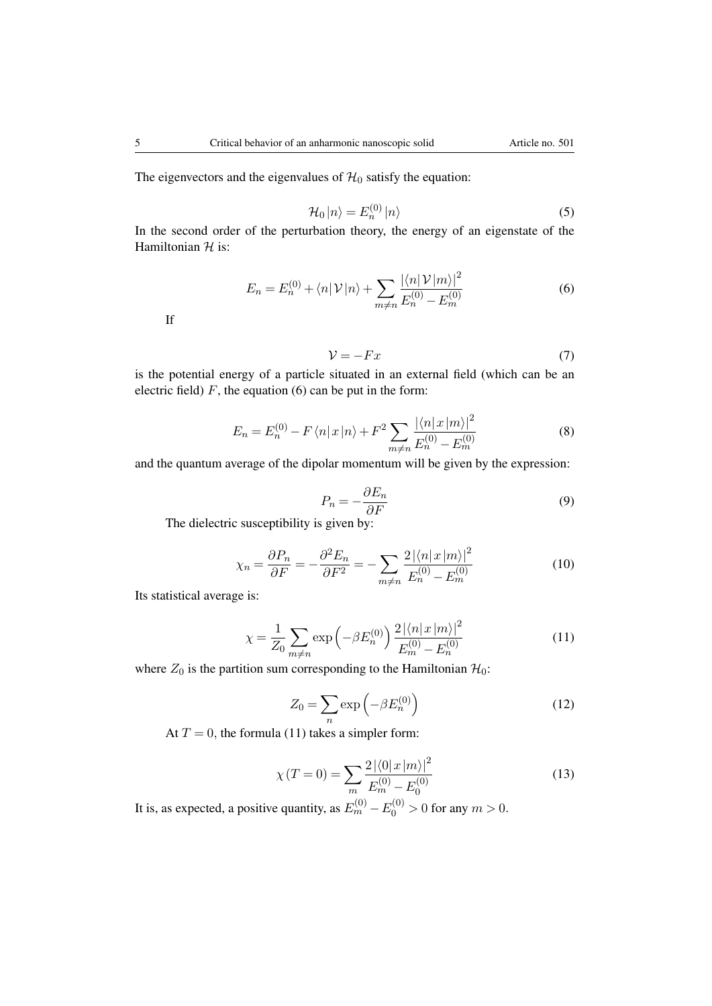The eigenvectors and the eigenvalues of  $H_0$  satisfy the equation:

$$
\mathcal{H}_0 |n\rangle = E_n^{(0)} |n\rangle \tag{5}
$$

In the second order of the perturbation theory, the energy of an eigenstate of the Hamiltonian *H* is:

$$
E_n = E_n^{(0)} + \langle n | \mathcal{V} | n \rangle + \sum_{m \neq n} \frac{|\langle n | \mathcal{V} | m \rangle|^2}{E_n^{(0)} - E_m^{(0)}} \tag{6}
$$

If

$$
\mathcal{V} = -Fx \tag{7}
$$

is the potential energy of a particle situated in an external field (which can be an electric field)  $F$ , the equation (6) can be put in the form:

$$
E_n = E_n^{(0)} - F\langle n|x|n\rangle + F^2 \sum_{m \neq n} \frac{|\langle n|x|m\rangle|^2}{E_n^{(0)} - E_m^{(0)}}\tag{8}
$$

and the quantum average of the dipolar momentum will be given by the expression:

$$
P_n = -\frac{\partial E_n}{\partial F} \tag{9}
$$

The dielectric susceptibility is given by:

$$
\chi_n = \frac{\partial P_n}{\partial F} = -\frac{\partial^2 E_n}{\partial F^2} = -\sum_{m \neq n} \frac{2|\langle n|x|m\rangle|^2}{E_n^{(0)} - E_m^{(0)}}\tag{10}
$$

Its statistical average is:

$$
\chi = \frac{1}{Z_0} \sum_{m \neq n} \exp\left(-\beta E_n^{(0)}\right) \frac{2 |\langle n | x | m \rangle|^2}{E_m^{(0)} - E_n^{(0)}} \tag{11}
$$

where  $Z_0$  is the partition sum corresponding to the Hamiltonian  $\mathcal{H}_0$ :

$$
Z_0 = \sum_n \exp\left(-\beta E_n^{(0)}\right) \tag{12}
$$

At  $T = 0$ , the formula (11) takes a simpler form:

$$
\chi(T=0) = \sum_{m} \frac{2|\langle 0|x|m\rangle|^2}{E_m^{(0)} - E_0^{(0)}}
$$
(13)

It is, as expected, a positive quantity, as  $E_m^{(0)} - E_0^{(0)} > 0$  for any  $m > 0$ .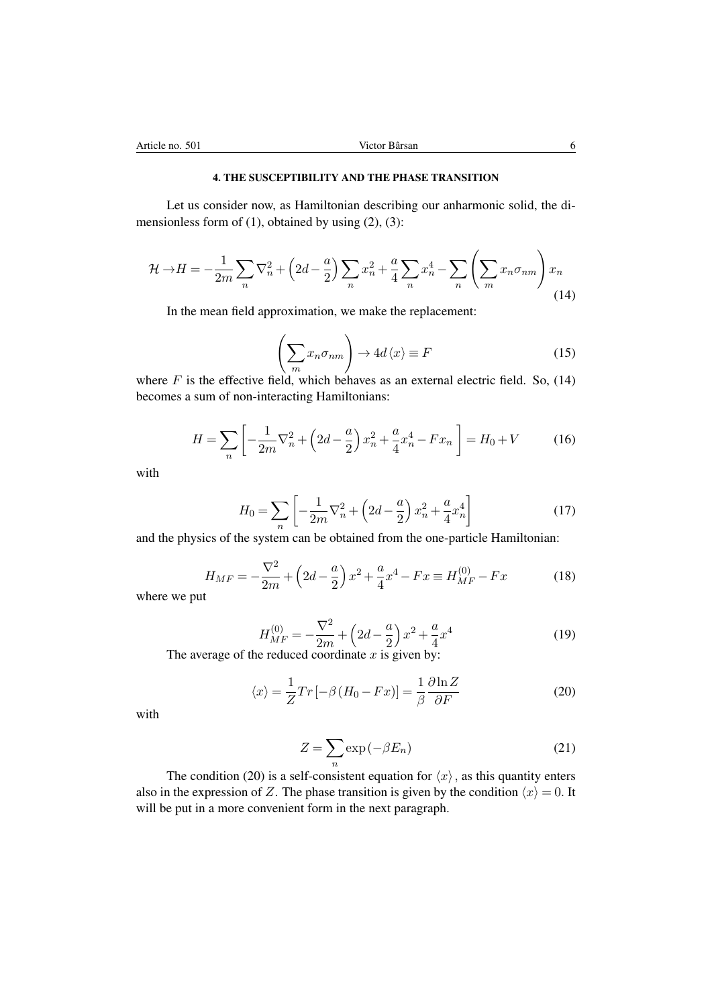### 4. THE SUSCEPTIBILITY AND THE PHASE TRANSITION

Let us consider now, as Hamiltonian describing our anharmonic solid, the dimensionless form of  $(1)$ , obtained by using  $(2)$ ,  $(3)$ :

$$
\mathcal{H} \rightarrow H = -\frac{1}{2m} \sum_{n} \nabla_n^2 + \left(2d - \frac{a}{2}\right) \sum_{n} x_n^2 + \frac{a}{4} \sum_{n} x_n^4 - \sum_{n} \left(\sum_{m} x_n \sigma_{nm}\right) x_n \tag{14}
$$

In the mean field approximation, we make the replacement:

$$
\left(\sum_{m} x_{n} \sigma_{nm}\right) \to 4d\langle x \rangle \equiv F \tag{15}
$$

where  $F$  is the effective field, which behaves as an external electric field. So,  $(14)$ becomes a sum of non-interacting Hamiltonians:

$$
H = \sum_{n} \left[ -\frac{1}{2m} \nabla_n^2 + \left( 2d - \frac{a}{2} \right) x_n^2 + \frac{a}{4} x_n^4 - F x_n \right] = H_0 + V \tag{16}
$$

with

$$
H_0 = \sum_{n} \left[ -\frac{1}{2m} \nabla_n^2 + \left( 2d - \frac{a}{2} \right) x_n^2 + \frac{a}{4} x_n^4 \right]
$$
 (17)

and the physics of the system can be obtained from the one-particle Hamiltonian:

$$
H_{MF} = -\frac{\nabla^2}{2m} + \left(2d - \frac{a}{2}\right)x^2 + \frac{a}{4}x^4 - Fx \equiv H_{MF}^{(0)} - Fx \tag{18}
$$

where we put

$$
H_{MF}^{(0)} = -\frac{\nabla^2}{2m} + \left(2d - \frac{a}{2}\right)x^2 + \frac{a}{4}x^4\tag{19}
$$

The average of the reduced coordinate *x* is given by:

$$
\langle x \rangle = \frac{1}{Z} Tr \left[ -\beta \left( H_0 - Fx \right) \right] = \frac{1}{\beta} \frac{\partial \ln Z}{\partial F}
$$
 (20)

with

$$
Z = \sum_{n} \exp(-\beta E_n) \tag{21}
$$

The condition (20) is a self-consistent equation for  $\langle x \rangle$ , as this quantity enters also in the expression of *Z*. The phase transition is given by the condition  $\langle x \rangle = 0$ . It will be put in a more convenient form in the next paragraph.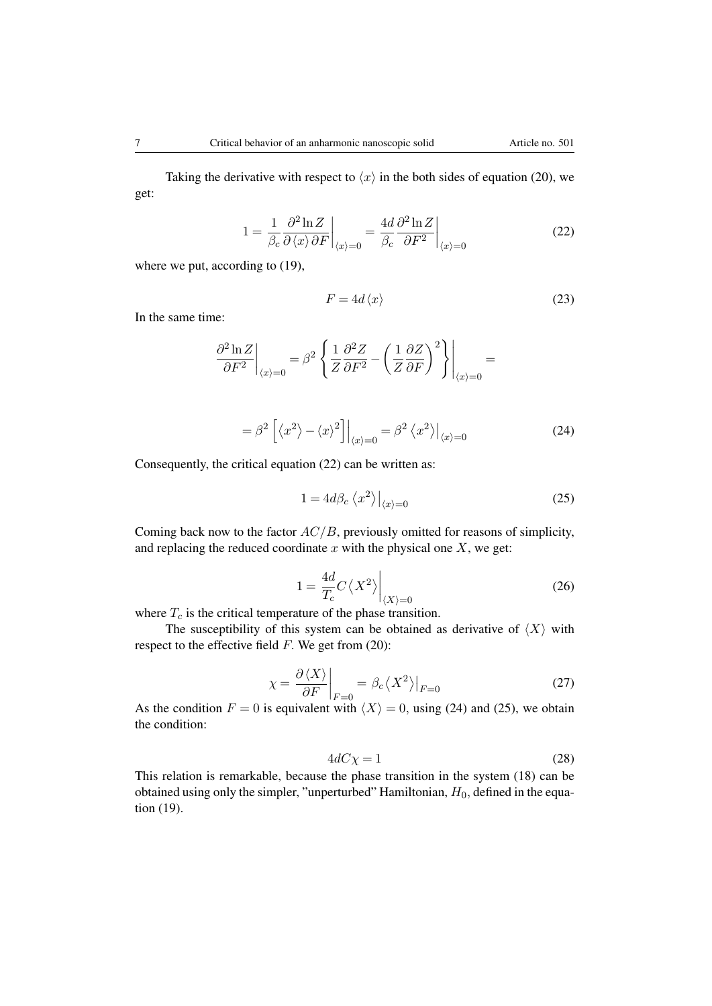Taking the derivative with respect to  $\langle x \rangle$  in the both sides of equation (20), we get:

$$
1 = \frac{1}{\beta_c} \frac{\partial^2 \ln Z}{\partial \langle x \rangle \partial F}\Big|_{\langle x \rangle = 0} = \frac{4d}{\beta_c} \frac{\partial^2 \ln Z}{\partial F^2}\Big|_{\langle x \rangle = 0}
$$
(22)

where we put, according to  $(19)$ ,

$$
F = 4d \langle x \rangle \tag{23}
$$

In the same time:

$$
\frac{\partial^2 \ln Z}{\partial F^2}\bigg|_{\langle x\rangle=0}=\beta^2\left.\left\{\frac{1}{Z}\frac{\partial^2 Z}{\partial F^2}-\left(\frac{1}{Z}\frac{\partial Z}{\partial F}\right)^2\right\}\right|_{\langle x\rangle=0}=
$$

$$
= \beta^2 \left[ \langle x^2 \rangle - \langle x \rangle^2 \right] \Big|_{\langle x \rangle = 0} = \beta^2 \langle x^2 \rangle \Big|_{\langle x \rangle = 0} \tag{24}
$$

Consequently, the critical equation (22) can be written as:

$$
1 = 4d\beta_c \left\langle x^2 \right\rangle \Big|_{\langle x \rangle = 0} \tag{25}
$$

Coming back now to the factor *AC/B*, previously omitted for reasons of simplicity, and replacing the reduced coordinate  $x$  with the physical one  $X$ , we get:

$$
1 = \frac{4d}{T_c} C \langle X^2 \rangle \Big|_{\langle X \rangle = 0} \tag{26}
$$

where  $T_c$  is the critical temperature of the phase transition.

The susceptibility of this system can be obtained as derivative of  $\langle X \rangle$  with respect to the effective field *F.* We get from (20):

$$
\chi = \frac{\partial \langle X \rangle}{\partial F}\bigg|_{F=0} = \beta_c \langle X^2 \rangle\big|_{F=0} \tag{27}
$$

As the condition  $F = 0$  is equivalent with  $\langle X \rangle = 0$ , using (24) and (25), we obtain the condition:

$$
4dC\chi = 1\tag{28}
$$

This relation is remarkable, because the phase transition in the system (18) can be obtained using only the simpler, "unperturbed" Hamiltonian,  $H_0$ , defined in the equation (19).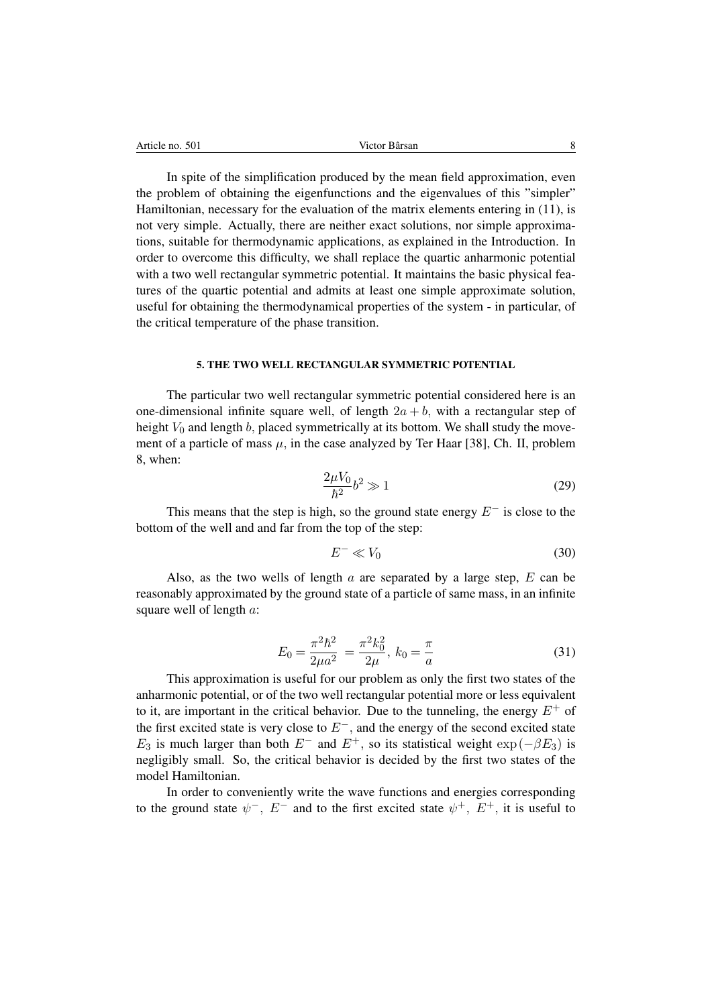In spite of the simplification produced by the mean field approximation, even the problem of obtaining the eigenfunctions and the eigenvalues of this "simpler" Hamiltonian, necessary for the evaluation of the matrix elements entering in (11), is not very simple. Actually, there are neither exact solutions, nor simple approximations, suitable for thermodynamic applications, as explained in the Introduction. In order to overcome this difficulty, we shall replace the quartic anharmonic potential with a two well rectangular symmetric potential. It maintains the basic physical features of the quartic potential and admits at least one simple approximate solution, useful for obtaining the thermodynamical properties of the system - in particular, of the critical temperature of the phase transition.

#### 5. THE TWO WELL RECTANGULAR SYMMETRIC POTENTIAL

The particular two well rectangular symmetric potential considered here is an one-dimensional infinite square well, of length  $2a + b$ , with a rectangular step of height  $V_0$  and length  $b$ , placed symmetrically at its bottom. We shall study the movement of a particle of mass  $\mu$ , in the case analyzed by Ter Haar [38], Ch. II, problem 8, when:

$$
\frac{2\mu V_0}{\hbar^2} b^2 \gg 1\tag{29}
$$

This means that the step is high, so the ground state energy  $E^-$  is close to the bottom of the well and and far from the top of the step:

$$
E^- \ll V_0 \tag{30}
$$

Also, as the two wells of length *a* are separated by a large step, *E* can be reasonably approximated by the ground state of a particle of same mass, in an infinite square well of length *a*:

$$
E_0 = \frac{\pi^2 \hbar^2}{2\mu a^2} = \frac{\pi^2 k_0^2}{2\mu}, \ k_0 = \frac{\pi}{a} \tag{31}
$$

This approximation is useful for our problem as only the first two states of the anharmonic potential, or of the two well rectangular potential more or less equivalent to it, are important in the critical behavior. Due to the tunneling, the energy  $E^+$  of the first excited state is very close to  $E^-$ , and the energy of the second excited state  $E_3$  is much larger than both  $E^-$  and  $E^+$ , so its statistical weight  $\exp(-\beta E_3)$  is negligibly small. So, the critical behavior is decided by the first two states of the model Hamiltonian.

In order to conveniently write the wave functions and energies corresponding to the ground state  $\psi^-$ ,  $E^-$  and to the first excited state  $\psi^+$ ,  $E^+$ , it is useful to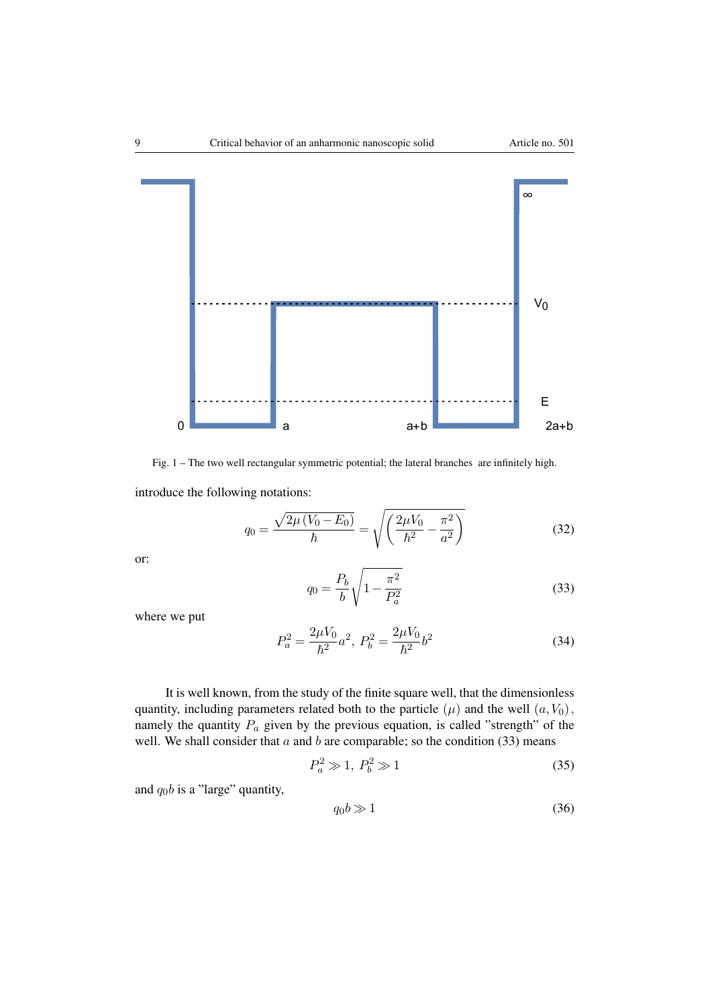

Fig. 1 – The two well rectangular symmetric potential; the lateral branches are infinitely high.

introduce the following notations:

$$
q_0 = \frac{\sqrt{2\mu (V_0 - E_0)}}{\hbar} = \sqrt{\left(\frac{2\mu V_0}{\hbar^2} - \frac{\pi^2}{a^2}\right)}\tag{32}
$$

or:

$$
q_0 = \frac{P_b}{b} \sqrt{1 - \frac{\pi^2}{P_a^2}}
$$
 (33)

where we put

$$
P_a^2 = \frac{2\mu V_0}{\hbar^2} a^2, \ P_b^2 = \frac{2\mu V_0}{\hbar^2} b^2 \tag{34}
$$

It is well known, from the study of the finite square well, that the dimensionless quantity, including parameters related both to the particle  $(\mu)$  and the well  $(a, V_0)$ , namely the quantity  $P_a$  given by the previous equation, is called "strength" of the well. We shall consider that *a* and *b* are comparable; so the condition (33) means

$$
P_a^2 \gg 1, P_b^2 \gg 1 \tag{35}
$$

and  $q_0b$  is a "large" quantity,

$$
q_0 b \gg 1 \tag{36}
$$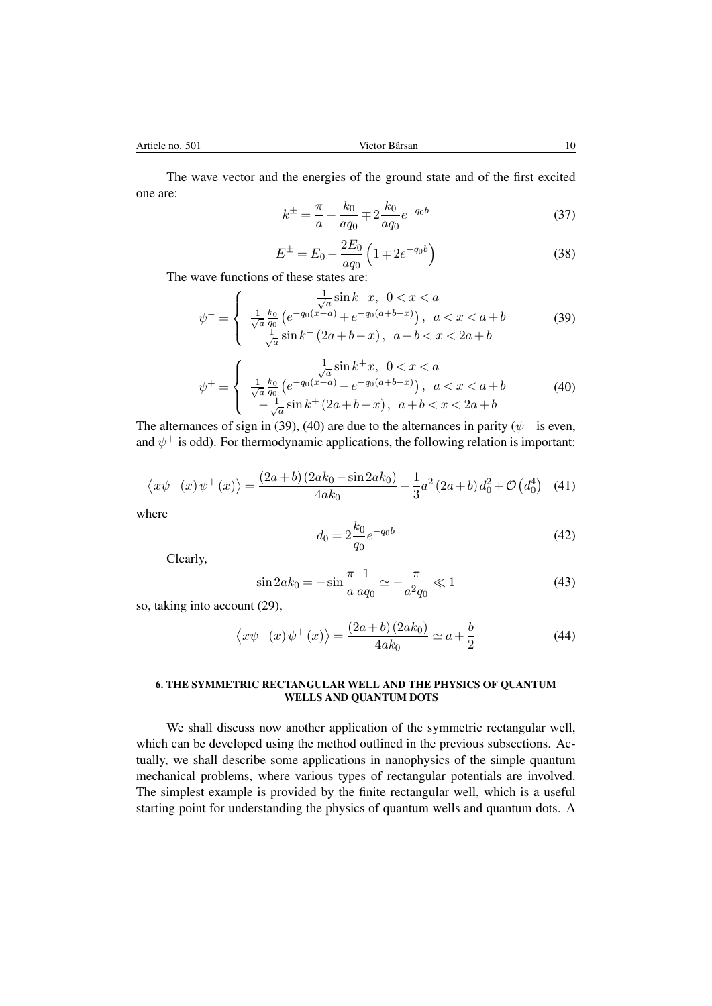The wave vector and the energies of the ground state and of the first excited one are:

$$
k^{\pm} = \frac{\pi}{a} - \frac{k_0}{aq_0} \mp 2 \frac{k_0}{aq_0} e^{-q_0 b}
$$
 (37)

$$
E^{\pm} = E_0 - \frac{2E_0}{aq_0} \left( 1 \mp 2e^{-q_0 b} \right)
$$
 (38)

The wave functions of these states are:

$$
\psi^{-} = \begin{cases}\n\frac{1}{\sqrt{a}} \sin k^{-}x, & 0 < x < a \\
\frac{1}{\sqrt{a}} \frac{k_0}{q_0} \left( e^{-q_0(x-a)} + e^{-q_0(a+b-x)} \right), & a < x < a+b \\
\frac{1}{\sqrt{a}} \sin k^{-} (2a+b-x), & a+b < x < 2a+b\n\end{cases} \tag{39}
$$

$$
\psi^{+} = \begin{cases}\n\frac{1}{\sqrt{a}} \sin k^{+} x, \ 0 < x < a \\
\frac{1}{\sqrt{a}} \frac{k_{0}}{q_{0}} \left( e^{-q_{0}(x-a)} - e^{-q_{0}(a+b-x)} \right), \ a < x < a+b \\
-\frac{1}{\sqrt{a}} \sin k^{+} (2a+b-x), \ a+b < x < 2a+b\n\end{cases}
$$
\n(40)

The alternances of sign in (39), (40) are due to the alternances in parity ( $\psi^-$  is even, and  $\psi^+$  is odd). For thermodynamic applications, the following relation is important:

$$
\langle x\psi^{-}(x)\psi^{+}(x)\rangle = \frac{(2a+b)(2ak_0 - \sin 2ak_0)}{4ak_0} - \frac{1}{3}a^2(2a+b)d_0^2 + \mathcal{O}(d_0^4) \quad (41)
$$

where

$$
d_0 = 2\frac{k_0}{q_0}e^{-q_0b} \tag{42}
$$

Clearly,

$$
\sin 2ak_0 = -\sin \frac{\pi}{a} \frac{1}{aq_0} \simeq -\frac{\pi}{a^2 q_0} \ll 1
$$
\n(43)

so, taking into account (29),

$$
\langle x\psi^{-}(x)\psi^{+}(x)\rangle = \frac{(2a+b)(2ak_0)}{4ak_0} \simeq a + \frac{b}{2}
$$
 (44)

#### 6. THE SYMMETRIC RECTANGULAR WELL AND THE PHYSICS OF QUANTUM WELLS AND QUANTUM DOTS

We shall discuss now another application of the symmetric rectangular well, which can be developed using the method outlined in the previous subsections. Actually, we shall describe some applications in nanophysics of the simple quantum mechanical problems, where various types of rectangular potentials are involved. The simplest example is provided by the finite rectangular well, which is a useful starting point for understanding the physics of quantum wells and quantum dots. A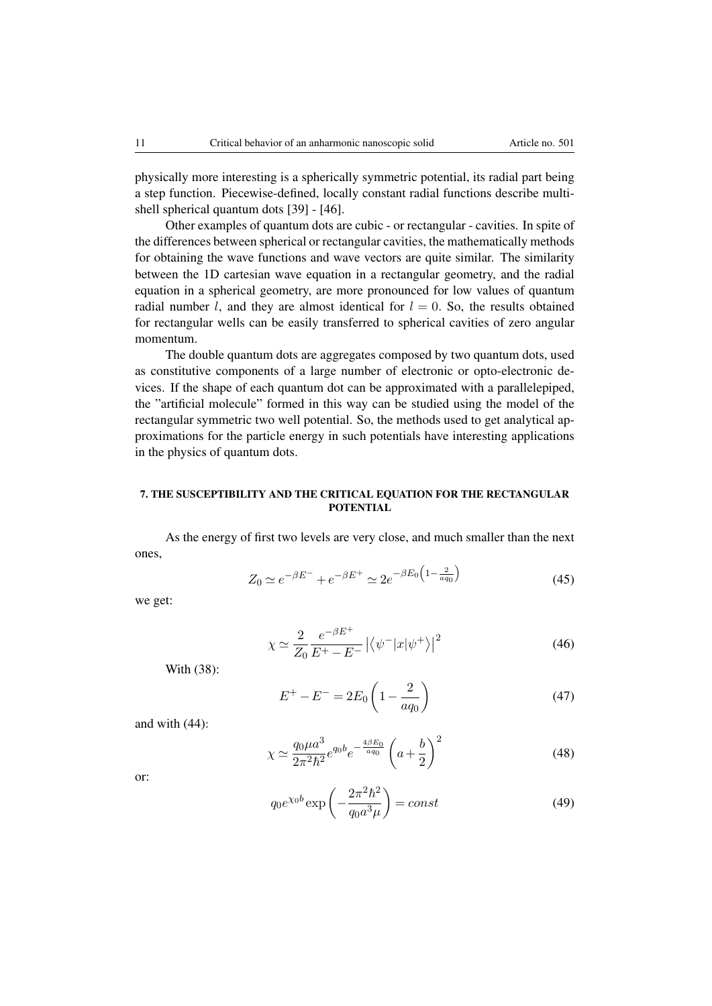physically more interesting is a spherically symmetric potential, its radial part being a step function. Piecewise-defined, locally constant radial functions describe multishell spherical quantum dots [39] - [46].

Other examples of quantum dots are cubic - or rectangular - cavities. In spite of the differences between spherical or rectangular cavities, the mathematically methods for obtaining the wave functions and wave vectors are quite similar. The similarity between the 1D cartesian wave equation in a rectangular geometry, and the radial equation in a spherical geometry, are more pronounced for low values of quantum radial number *l*, and they are almost identical for  $l = 0$ . So, the results obtained for rectangular wells can be easily transferred to spherical cavities of zero angular momentum.

The double quantum dots are aggregates composed by two quantum dots, used as constitutive components of a large number of electronic or opto-electronic devices. If the shape of each quantum dot can be approximated with a parallelepiped, the "artificial molecule" formed in this way can be studied using the model of the rectangular symmetric two well potential. So, the methods used to get analytical approximations for the particle energy in such potentials have interesting applications in the physics of quantum dots.

## 7. THE SUSCEPTIBILITY AND THE CRITICAL EQUATION FOR THE RECTANGULAR POTENTIAL

As the energy of first two levels are very close, and much smaller than the next ones,

$$
Z_0 \simeq e^{-\beta E^{-}} + e^{-\beta E^{+}} \simeq 2e^{-\beta E_0 \left(1 - \frac{2}{aq_0}\right)}
$$
(45)

we get:

$$
\chi \simeq \frac{2}{Z_0} \frac{e^{-\beta E^+}}{E^+ - E^-} \left| \left\langle \psi^- | x | \psi^+ \right\rangle \right|^2 \tag{46}
$$

With (38):

$$
E^{+} - E^{-} = 2E_0 \left( 1 - \frac{2}{aq_0} \right)
$$
 (47)

and with (44):

$$
\chi \simeq \frac{q_0 \mu a^3}{2\pi^2 \hbar^2} e^{q_0 b} e^{-\frac{4\beta E_0}{a q_0}} \left( a + \frac{b}{2} \right)^2 \tag{48}
$$

or:

$$
q_0 e^{\chi_0 b} \exp\left(-\frac{2\pi^2 \hbar^2}{q_0 a^3 \mu}\right) = const \tag{49}
$$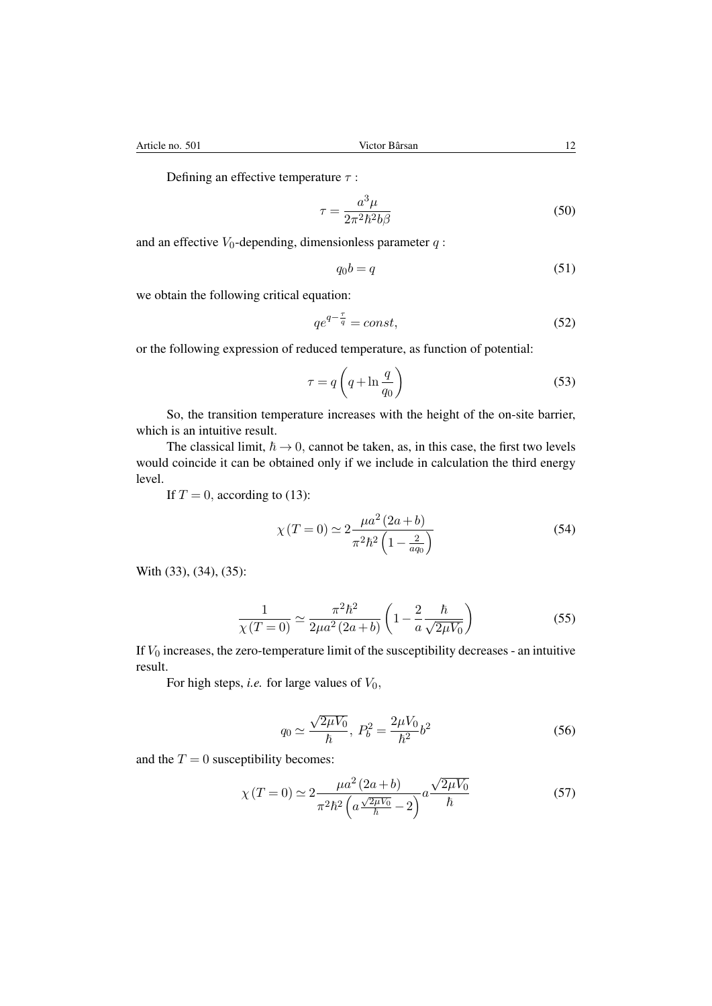Defining an effective temperature  $\tau$ :

$$
\tau = \frac{a^3 \mu}{2\pi^2 \hbar^2 b \beta} \tag{50}
$$

and an effective  $V_0$ -depending, dimensionless parameter  $q$ :

$$
q_0 b = q \tag{51}
$$

we obtain the following critical equation:

$$
qe^{q-\frac{\tau}{q}} = const,
$$
\n<sup>(52)</sup>

or the following expression of reduced temperature, as function of potential:

$$
\tau = q \left( q + \ln \frac{q}{q_0} \right) \tag{53}
$$

So, the transition temperature increases with the height of the on-site barrier, which is an intuitive result.

The classical limit,  $\hbar \rightarrow 0$ , cannot be taken, as, in this case, the first two levels would coincide it can be obtained only if we include in calculation the third energy level.

If  $T = 0$ , according to (13):

$$
\chi(T=0) \simeq 2 \frac{\mu a^2 (2a+b)}{\pi^2 \hbar^2 \left(1 - \frac{2}{aq_0}\right)}\tag{54}
$$

With (33), (34), (35):

$$
\frac{1}{\chi(T=0)} \simeq \frac{\pi^2 \hbar^2}{2\mu a^2 (2a+b)} \left(1 - \frac{2}{a} \frac{\hbar}{\sqrt{2\mu V_0}}\right)
$$
(55)

If  $V_0$  increases, the zero-temperature limit of the susceptibility decreases - an intuitive result.

For high steps, *i.e.* for large values of *V*0*,*

$$
q_0 \simeq \frac{\sqrt{2\mu V_0}}{\hbar}, \ P_b^2 = \frac{2\mu V_0}{\hbar^2} b^2 \tag{56}
$$

and the  $T = 0$  susceptibility becomes:

$$
\chi(T=0) \simeq 2 \frac{\mu a^2 (2a+b)}{\pi^2 \hbar^2 \left( a \frac{\sqrt{2\mu V_0}}{\hbar} - 2 \right)} a \frac{\sqrt{2\mu V_0}}{\hbar}
$$
(57)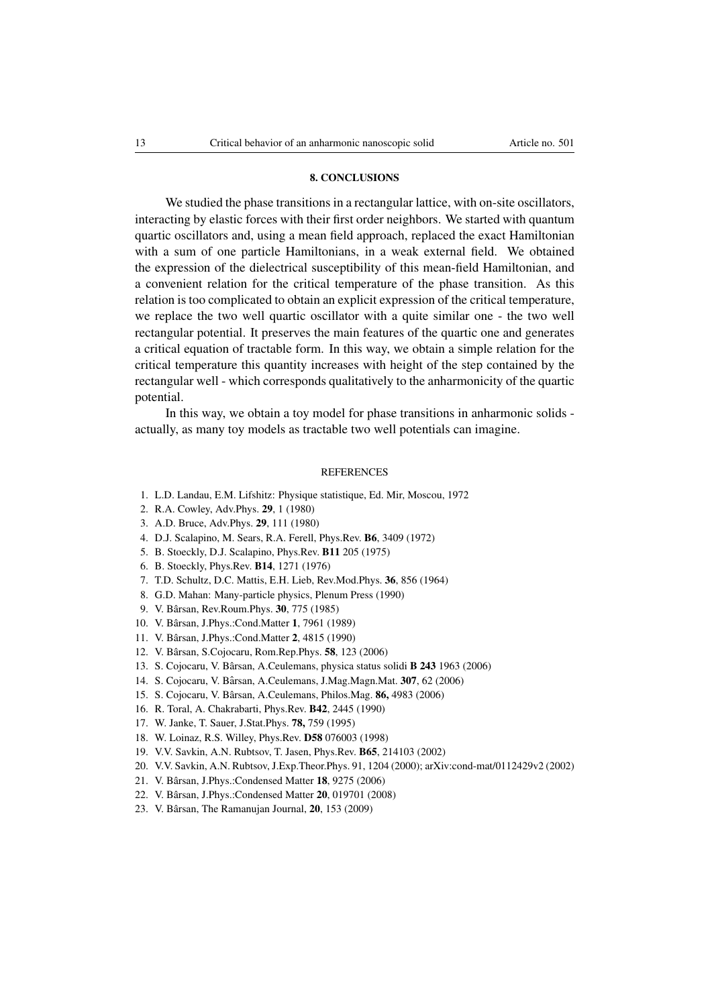#### 8. CONCLUSIONS

We studied the phase transitions in a rectangular lattice, with on-site oscillators, interacting by elastic forces with their first order neighbors. We started with quantum quartic oscillators and, using a mean field approach, replaced the exact Hamiltonian with a sum of one particle Hamiltonians, in a weak external field. We obtained the expression of the dielectrical susceptibility of this mean-field Hamiltonian, and a convenient relation for the critical temperature of the phase transition. As this relation is too complicated to obtain an explicit expression of the critical temperature, we replace the two well quartic oscillator with a quite similar one - the two well rectangular potential. It preserves the main features of the quartic one and generates a critical equation of tractable form. In this way, we obtain a simple relation for the critical temperature this quantity increases with height of the step contained by the rectangular well - which corresponds qualitatively to the anharmonicity of the quartic potential.

In this way, we obtain a toy model for phase transitions in anharmonic solids actually, as many toy models as tractable two well potentials can imagine.

#### **REFERENCES**

- 1. L.D. Landau, E.M. Lifshitz: Physique statistique, Ed. Mir, Moscou, 1972
- 2. R.A. Cowley, Adv.Phys. 29, 1 (1980)
- 3. A.D. Bruce, Adv.Phys. 29, 111 (1980)
- 4. D.J. Scalapino, M. Sears, R.A. Ferell, Phys.Rev. B6, 3409 (1972)
- 5. B. Stoeckly, D.J. Scalapino, Phys.Rev. B11 205 (1975)
- 6. B. Stoeckly, Phys.Rev. B14, 1271 (1976)
- 7. T.D. Schultz, D.C. Mattis, E.H. Lieb, Rev.Mod.Phys. 36, 856 (1964)
- 8. G.D. Mahan: Many-particle physics, Plenum Press (1990)
- 9. V. Bârsan, Rev.Roum.Phys. 30, 775 (1985)
- 10. V. Bârsan, J.Phys.:Cond.Matter 1, 7961 (1989)
- 11. V. Bârsan, J.Phys.:Cond.Matter 2, 4815 (1990)
- 12. V. Bârsan, S.Cojocaru, Rom.Rep.Phys. 58, 123 (2006)
- 13. S. Cojocaru, V. Bârsan, A.Ceulemans, physica status solidi **B 243** 1963 (2006)
- 14. S. Cojocaru, V. Bârsan, A.Ceulemans, J.Mag.Magn.Mat. 307, 62 (2006)
- 15. S. Cojocaru, V. Bârsan, A.Ceulemans, Philos.Mag. 86, 4983 (2006)
- 16. R. Toral, A. Chakrabarti, Phys.Rev. B42, 2445 (1990)
- 17. W. Janke, T. Sauer, J.Stat.Phys. 78, 759 (1995)
- 18. W. Loinaz, R.S. Willey, Phys.Rev. D58 076003 (1998)
- 19. V.V. Savkin, A.N. Rubtsov, T. Jasen, Phys.Rev. B65, 214103 (2002)
- 20. V.V. Savkin, A.N. Rubtsov, J.Exp.Theor.Phys. 91, 1204 (2000); arXiv:cond-mat/0112429v2 (2002)
- 21. V. Bârsan, J.Phys.:Condensed Matter **18**, 9275 (2006)
- 22. V. Bârsan, J.Phys.:Condensed Matter **20**, 019701 (2008)
- 23. V. Bârsan, The Ramanujan Journal,  $20$ , 153 (2009)